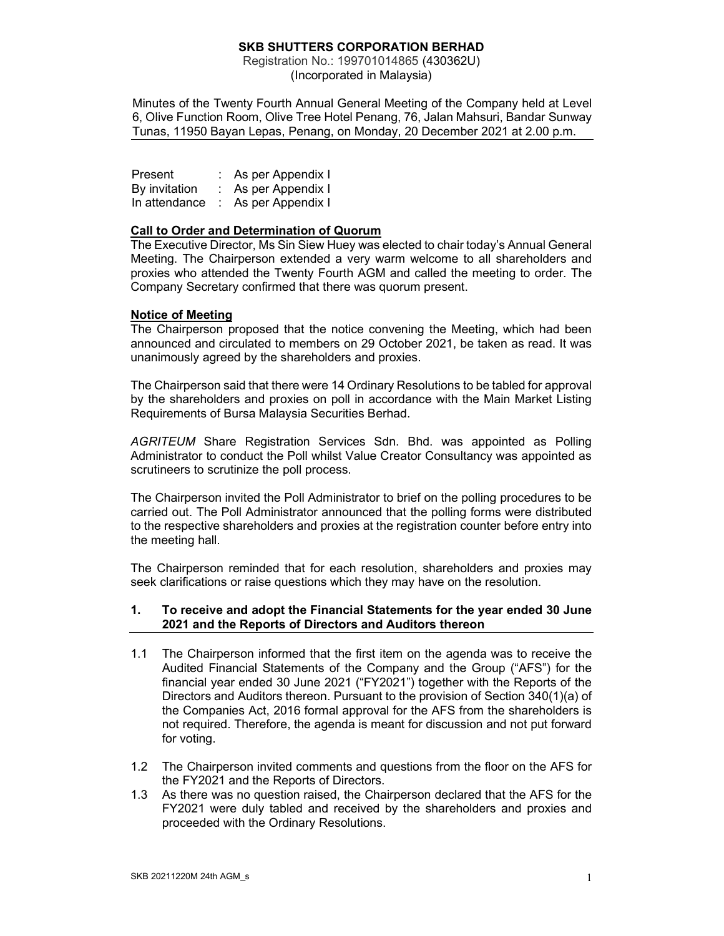Registration No.: 199701014865 (430362U) (Incorporated in Malaysia)

Minutes of the Twenty Fourth Annual General Meeting of the Company held at Level 6, Olive Function Room, Olive Tree Hotel Penang, 76, Jalan Mahsuri, Bandar Sunway Tunas, 11950 Bayan Lepas, Penang, on Monday, 20 December 2021 at 2.00 p.m.

| Present       | As per Appendix I |
|---------------|-------------------|
| By invitation | As per Appendix I |
| In attendance | As per Appendix I |

### Call to Order and Determination of Quorum

The Executive Director, Ms Sin Siew Huey was elected to chair today's Annual General Meeting. The Chairperson extended a very warm welcome to all shareholders and proxies who attended the Twenty Fourth AGM and called the meeting to order. The Company Secretary confirmed that there was quorum present.

### Notice of Meeting

The Chairperson proposed that the notice convening the Meeting, which had been announced and circulated to members on 29 October 2021, be taken as read. It was unanimously agreed by the shareholders and proxies.

The Chairperson said that there were 14 Ordinary Resolutions to be tabled for approval by the shareholders and proxies on poll in accordance with the Main Market Listing Requirements of Bursa Malaysia Securities Berhad.

AGRITEUM Share Registration Services Sdn. Bhd. was appointed as Polling Administrator to conduct the Poll whilst Value Creator Consultancy was appointed as scrutineers to scrutinize the poll process.

The Chairperson invited the Poll Administrator to brief on the polling procedures to be carried out. The Poll Administrator announced that the polling forms were distributed to the respective shareholders and proxies at the registration counter before entry into the meeting hall.

The Chairperson reminded that for each resolution, shareholders and proxies may seek clarifications or raise questions which they may have on the resolution.

### 1. To receive and adopt the Financial Statements for the year ended 30 June 2021 and the Reports of Directors and Auditors thereon

- 1.1 The Chairperson informed that the first item on the agenda was to receive the Audited Financial Statements of the Company and the Group ("AFS") for the financial year ended 30 June 2021 ("FY2021") together with the Reports of the Directors and Auditors thereon. Pursuant to the provision of Section 340(1)(a) of the Companies Act, 2016 formal approval for the AFS from the shareholders is not required. Therefore, the agenda is meant for discussion and not put forward for voting.
- 1.2 The Chairperson invited comments and questions from the floor on the AFS for the FY2021 and the Reports of Directors.
- 1.3 As there was no question raised, the Chairperson declared that the AFS for the FY2021 were duly tabled and received by the shareholders and proxies and proceeded with the Ordinary Resolutions.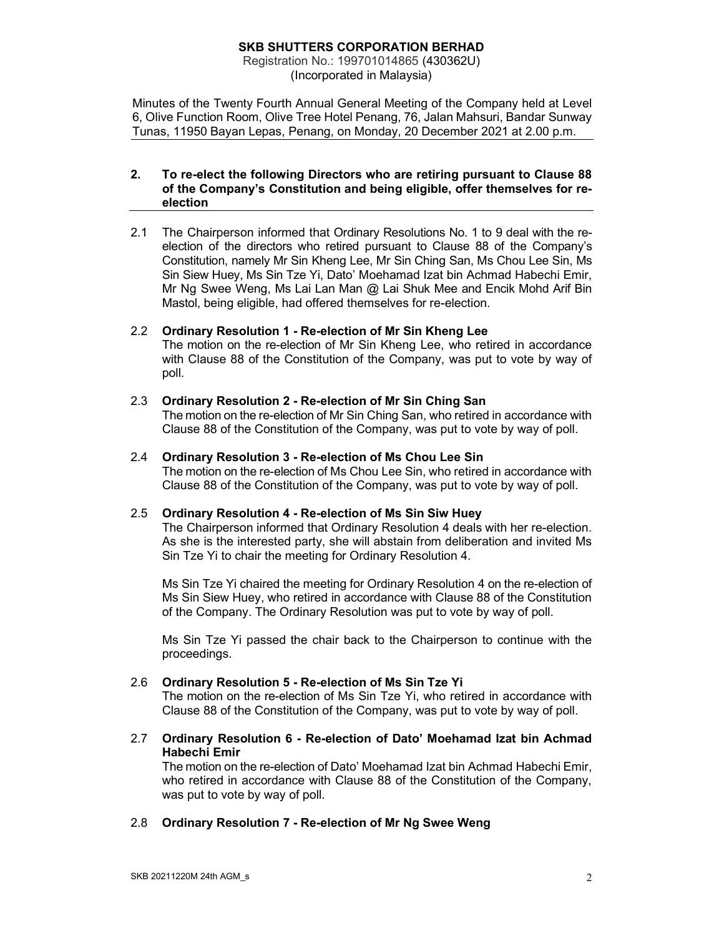Registration No.: 199701014865 (430362U) (Incorporated in Malaysia)

Minutes of the Twenty Fourth Annual General Meeting of the Company held at Level 6, Olive Function Room, Olive Tree Hotel Penang, 76, Jalan Mahsuri, Bandar Sunway Tunas, 11950 Bayan Lepas, Penang, on Monday, 20 December 2021 at 2.00 p.m.

### 2. To re-elect the following Directors who are retiring pursuant to Clause 88 of the Company's Constitution and being eligible, offer themselves for reelection

2.1 The Chairperson informed that Ordinary Resolutions No. 1 to 9 deal with the reelection of the directors who retired pursuant to Clause 88 of the Company's Constitution, namely Mr Sin Kheng Lee, Mr Sin Ching San, Ms Chou Lee Sin, Ms Sin Siew Huey, Ms Sin Tze Yi, Dato' Moehamad Izat bin Achmad Habechi Emir, Mr Ng Swee Weng, Ms Lai Lan Man @ Lai Shuk Mee and Encik Mohd Arif Bin Mastol, being eligible, had offered themselves for re-election.

# 2.2 Ordinary Resolution 1 - Re-election of Mr Sin Kheng Lee

The motion on the re-election of Mr Sin Kheng Lee, who retired in accordance with Clause 88 of the Constitution of the Company, was put to vote by way of poll.

# 2.3 Ordinary Resolution 2 - Re-election of Mr Sin Ching San

The motion on the re-election of Mr Sin Ching San, who retired in accordance with Clause 88 of the Constitution of the Company, was put to vote by way of poll.

# 2.4 Ordinary Resolution 3 - Re-election of Ms Chou Lee Sin

The motion on the re-election of Ms Chou Lee Sin, who retired in accordance with Clause 88 of the Constitution of the Company, was put to vote by way of poll.

# 2.5 Ordinary Resolution 4 - Re-election of Ms Sin Siw Huey

The Chairperson informed that Ordinary Resolution 4 deals with her re-election. As she is the interested party, she will abstain from deliberation and invited Ms Sin Tze Yi to chair the meeting for Ordinary Resolution 4.

Ms Sin Tze Yi chaired the meeting for Ordinary Resolution 4 on the re-election of Ms Sin Siew Huey, who retired in accordance with Clause 88 of the Constitution of the Company. The Ordinary Resolution was put to vote by way of poll.

Ms Sin Tze Yi passed the chair back to the Chairperson to continue with the proceedings.

# 2.6 Ordinary Resolution 5 - Re-election of Ms Sin Tze Yi

The motion on the re-election of Ms Sin Tze Yi, who retired in accordance with Clause 88 of the Constitution of the Company, was put to vote by way of poll.

# 2.7 Ordinary Resolution 6 - Re-election of Dato' Moehamad Izat bin Achmad Habechi Emir

The motion on the re-election of Dato' Moehamad Izat bin Achmad Habechi Emir, who retired in accordance with Clause 88 of the Constitution of the Company, was put to vote by way of poll.

# 2.8 Ordinary Resolution 7 - Re-election of Mr Ng Swee Weng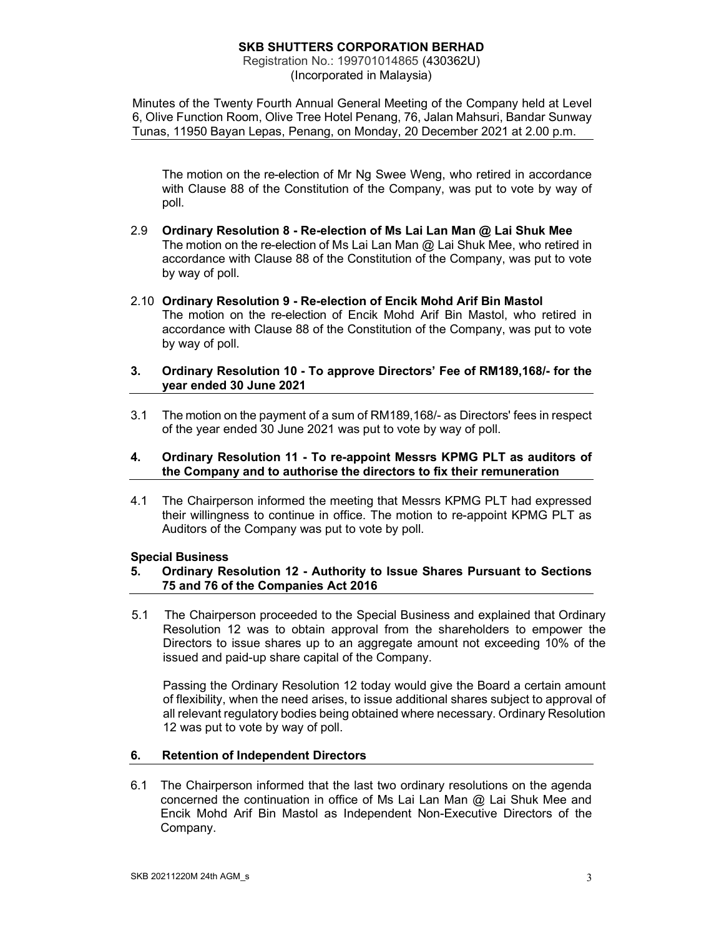Registration No.: 199701014865 (430362U) (Incorporated in Malaysia)

Minutes of the Twenty Fourth Annual General Meeting of the Company held at Level 6, Olive Function Room, Olive Tree Hotel Penang, 76, Jalan Mahsuri, Bandar Sunway Tunas, 11950 Bayan Lepas, Penang, on Monday, 20 December 2021 at 2.00 p.m.

The motion on the re-election of Mr Ng Swee Weng, who retired in accordance with Clause 88 of the Constitution of the Company, was put to vote by way of poll.

- 2.9 Ordinary Resolution 8 Re-election of Ms Lai Lan Man @ Lai Shuk Mee The motion on the re-election of Ms Lai Lan Man @ Lai Shuk Mee, who retired in accordance with Clause 88 of the Constitution of the Company, was put to vote by way of poll.
- 2.10 Ordinary Resolution 9 Re-election of Encik Mohd Arif Bin Mastol The motion on the re-election of Encik Mohd Arif Bin Mastol, who retired in accordance with Clause 88 of the Constitution of the Company, was put to vote by way of poll.

### 3. Ordinary Resolution 10 - To approve Directors' Fee of RM189,168/- for the year ended 30 June 2021

3.1 The motion on the payment of a sum of RM189,168/- as Directors' fees in respect of the year ended 30 June 2021 was put to vote by way of poll.

### 4. Ordinary Resolution 11 - To re-appoint Messrs KPMG PLT as auditors of the Company and to authorise the directors to fix their remuneration

4.1 The Chairperson informed the meeting that Messrs KPMG PLT had expressed their willingness to continue in office. The motion to re-appoint KPMG PLT as Auditors of the Company was put to vote by poll.

# Special Business

### 5. Ordinary Resolution 12 - Authority to Issue Shares Pursuant to Sections 75 and 76 of the Companies Act 2016

5.1 The Chairperson proceeded to the Special Business and explained that Ordinary Resolution 12 was to obtain approval from the shareholders to empower the Directors to issue shares up to an aggregate amount not exceeding 10% of the issued and paid-up share capital of the Company.

Passing the Ordinary Resolution 12 today would give the Board a certain amount of flexibility, when the need arises, to issue additional shares subject to approval of all relevant regulatory bodies being obtained where necessary. Ordinary Resolution 12 was put to vote by way of poll.

# 6. Retention of Independent Directors

6.1 The Chairperson informed that the last two ordinary resolutions on the agenda concerned the continuation in office of Ms Lai Lan Man @ Lai Shuk Mee and Encik Mohd Arif Bin Mastol as Independent Non-Executive Directors of the Company.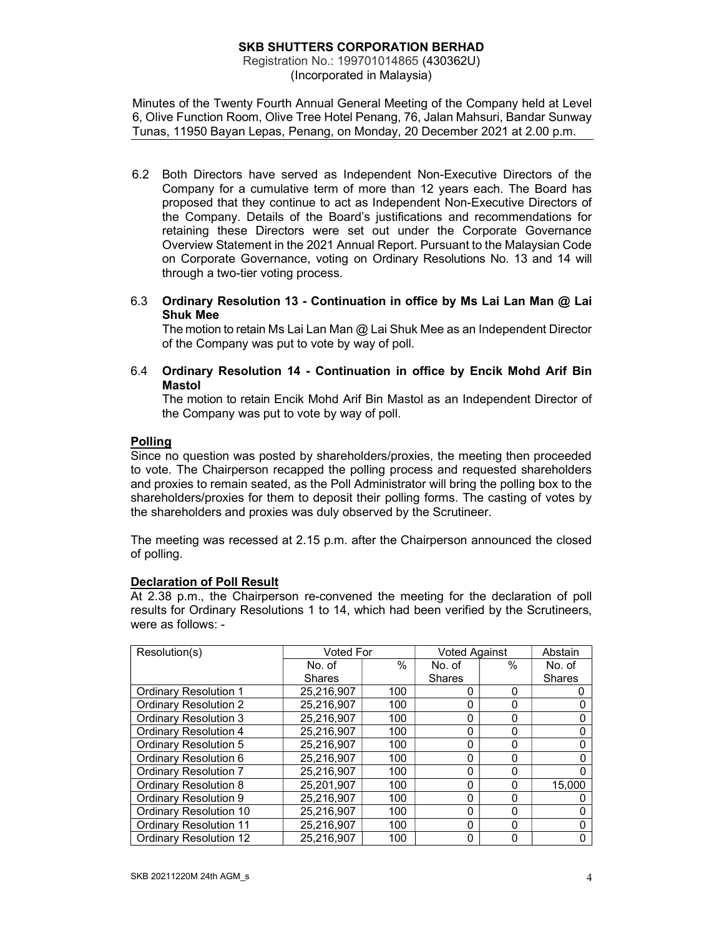Registration No.: 199701014865 (430362U) (Incorporated in Malaysia)

Minutes of the Twenty Fourth Annual General Meeting of the Company held at Level 6, Olive Function Room, Olive Tree Hotel Penang, 76, Jalan Mahsuri, Bandar Sunway Tunas, 11950 Bayan Lepas, Penang, on Monday, 20 December 2021 at 2.00 p.m.

- 6.2 Both Directors have served as Independent Non-Executive Directors of the Company for a cumulative term of more than 12 years each. The Board has proposed that they continue to act as Independent Non-Executive Directors of the Company. Details of the Board's justifications and recommendations for retaining these Directors were set out under the Corporate Governance Overview Statement in the 2021 Annual Report. Pursuant to the Malaysian Code on Corporate Governance, voting on Ordinary Resolutions No. 13 and 14 will through a two-tier voting process.
- 6.3 Ordinary Resolution 13 Continuation in office by Ms Lai Lan Man @ Lai Shuk Mee

The motion to retain Ms Lai Lan Man @ Lai Shuk Mee as an Independent Director of the Company was put to vote by way of poll.

6.4 Ordinary Resolution 14 - Continuation in office by Encik Mohd Arif Bin Mastol

The motion to retain Encik Mohd Arif Bin Mastol as an Independent Director of the Company was put to vote by way of poll.

# Polling

Since no question was posted by shareholders/proxies, the meeting then proceeded to vote. The Chairperson recapped the polling process and requested shareholders and proxies to remain seated, as the Poll Administrator will bring the polling box to the shareholders/proxies for them to deposit their polling forms. The casting of votes by the shareholders and proxies was duly observed by the Scrutineer.

The meeting was recessed at 2.15 p.m. after the Chairperson announced the closed of polling.

### **Declaration of Poll Result**

At 2.38 p.m., the Chairperson re-convened the meeting for the declaration of poll results for Ordinary Resolutions 1 to 14, which had been verified by the Scrutineers, were as follows: -

| Resolution(s)                 | <b>Voted For</b> |      | <b>Voted Against</b> |          | Abstain       |
|-------------------------------|------------------|------|----------------------|----------|---------------|
|                               | No. of           | $\%$ | No. of               | $\%$     | No. of        |
|                               | <b>Shares</b>    |      | <b>Shares</b>        |          | <b>Shares</b> |
| <b>Ordinary Resolution 1</b>  | 25.216.907       | 100  | O                    | 0        |               |
| <b>Ordinary Resolution 2</b>  | 25.216.907       | 100  | 0                    | 0        |               |
| <b>Ordinary Resolution 3</b>  | 25.216.907       | 100  | 0                    | 0        |               |
| <b>Ordinary Resolution 4</b>  | 25.216.907       | 100  | $\Omega$             | $\Omega$ |               |
| <b>Ordinary Resolution 5</b>  | 25.216.907       | 100  | 0                    | 0        |               |
| Ordinary Resolution 6         | 25.216.907       | 100  | $\Omega$             | 0        |               |
| <b>Ordinary Resolution 7</b>  | 25.216.907       | 100  | 0                    | 0        |               |
| <b>Ordinary Resolution 8</b>  | 25.201.907       | 100  | $\Omega$             | 0        | 15.000        |
| Ordinary Resolution 9         | 25.216.907       | 100  |                      | 0        |               |
| <b>Ordinary Resolution 10</b> | 25.216.907       | 100  | $\Omega$             | 0        |               |
| <b>Ordinary Resolution 11</b> | 25.216.907       | 100  | $\Omega$             | 0        |               |
| <b>Ordinary Resolution 12</b> | 25.216.907       | 100  | O                    | 0        |               |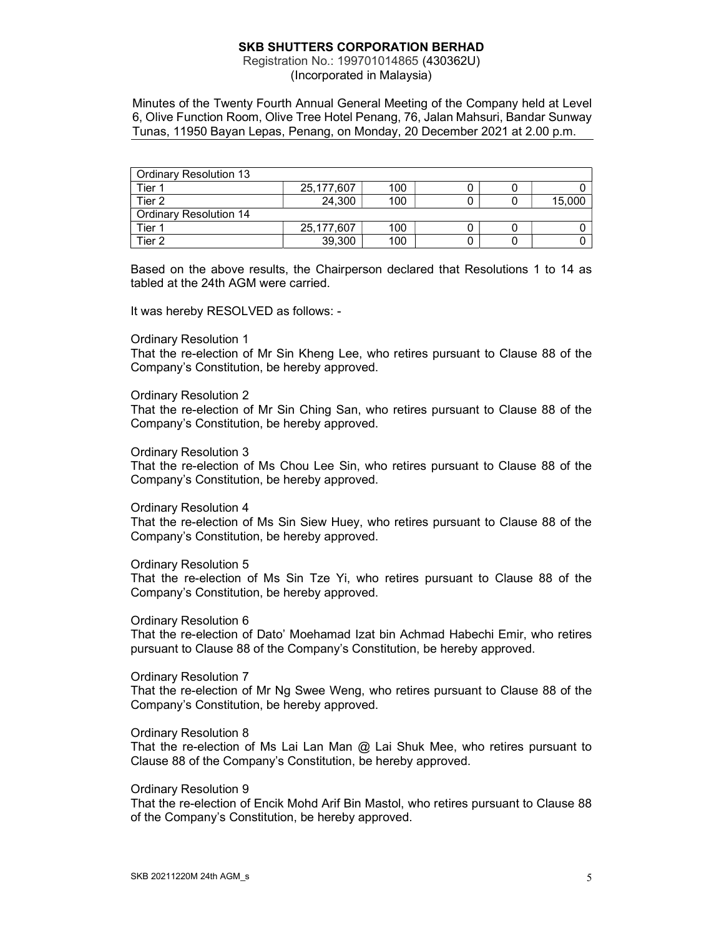Registration No.: 199701014865 (430362U) (Incorporated in Malaysia)

Minutes of the Twenty Fourth Annual General Meeting of the Company held at Level 6, Olive Function Room, Olive Tree Hotel Penang, 76, Jalan Mahsuri, Bandar Sunway Tunas, 11950 Bayan Lepas, Penang, on Monday, 20 December 2021 at 2.00 p.m.

| <b>Ordinary Resolution 13</b> |            |     |  |        |
|-------------------------------|------------|-----|--|--------|
| Tier 1                        | 25,177,607 | 100 |  |        |
| Tier 2                        | 24.300     | 100 |  | 15,000 |
| <b>Ordinary Resolution 14</b> |            |     |  |        |
| Tier 1                        | 25,177,607 | 100 |  |        |
| Tier 2                        | 39,300     | 100 |  |        |

Based on the above results, the Chairperson declared that Resolutions 1 to 14 as tabled at the 24th AGM were carried.

It was hereby RESOLVED as follows: -

#### Ordinary Resolution 1

That the re-election of Mr Sin Kheng Lee, who retires pursuant to Clause 88 of the Company's Constitution, be hereby approved.

#### Ordinary Resolution 2

That the re-election of Mr Sin Ching San, who retires pursuant to Clause 88 of the Company's Constitution, be hereby approved.

#### Ordinary Resolution 3

That the re-election of Ms Chou Lee Sin, who retires pursuant to Clause 88 of the Company's Constitution, be hereby approved.

#### Ordinary Resolution 4

That the re-election of Ms Sin Siew Huey, who retires pursuant to Clause 88 of the Company's Constitution, be hereby approved.

#### Ordinary Resolution 5

That the re-election of Ms Sin Tze Yi, who retires pursuant to Clause 88 of the Company's Constitution, be hereby approved.

#### Ordinary Resolution 6

That the re-election of Dato' Moehamad Izat bin Achmad Habechi Emir, who retires pursuant to Clause 88 of the Company's Constitution, be hereby approved.

#### Ordinary Resolution 7

That the re-election of Mr Ng Swee Weng, who retires pursuant to Clause 88 of the Company's Constitution, be hereby approved.

#### Ordinary Resolution 8

That the re-election of Ms Lai Lan Man @ Lai Shuk Mee, who retires pursuant to Clause 88 of the Company's Constitution, be hereby approved.

#### Ordinary Resolution 9

That the re-election of Encik Mohd Arif Bin Mastol, who retires pursuant to Clause 88 of the Company's Constitution, be hereby approved.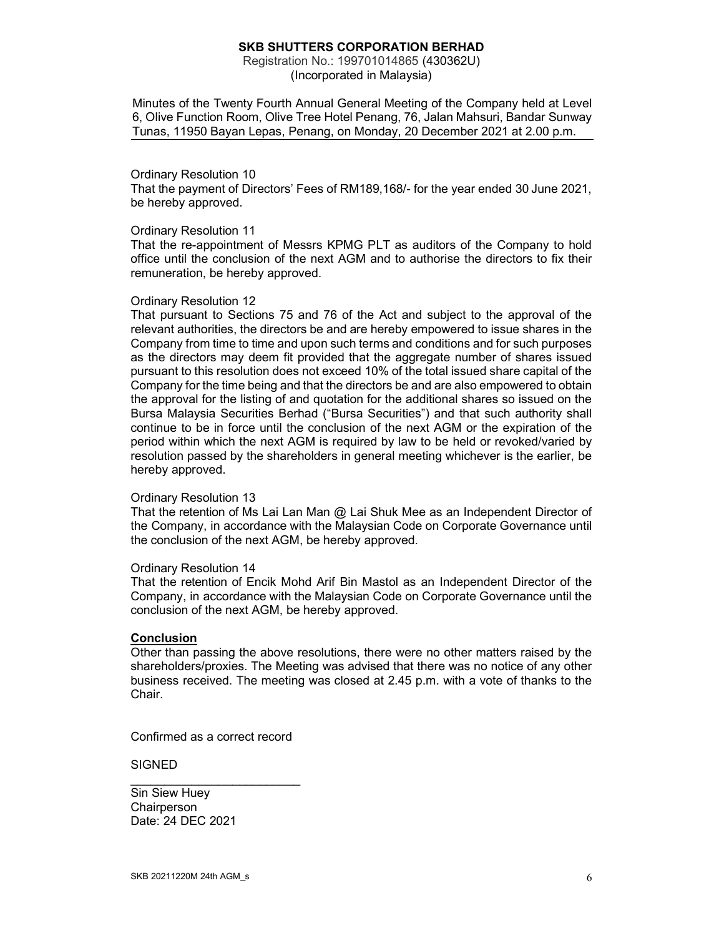Registration No.: 199701014865 (430362U) (Incorporated in Malaysia)

Minutes of the Twenty Fourth Annual General Meeting of the Company held at Level 6, Olive Function Room, Olive Tree Hotel Penang, 76, Jalan Mahsuri, Bandar Sunway Tunas, 11950 Bayan Lepas, Penang, on Monday, 20 December 2021 at 2.00 p.m.

### Ordinary Resolution 10

That the payment of Directors' Fees of RM189,168/- for the year ended 30 June 2021, be hereby approved.

### Ordinary Resolution 11

That the re-appointment of Messrs KPMG PLT as auditors of the Company to hold office until the conclusion of the next AGM and to authorise the directors to fix their remuneration, be hereby approved.

### Ordinary Resolution 12

That pursuant to Sections 75 and 76 of the Act and subject to the approval of the relevant authorities, the directors be and are hereby empowered to issue shares in the Company from time to time and upon such terms and conditions and for such purposes as the directors may deem fit provided that the aggregate number of shares issued pursuant to this resolution does not exceed 10% of the total issued share capital of the Company for the time being and that the directors be and are also empowered to obtain the approval for the listing of and quotation for the additional shares so issued on the Bursa Malaysia Securities Berhad ("Bursa Securities") and that such authority shall continue to be in force until the conclusion of the next AGM or the expiration of the period within which the next AGM is required by law to be held or revoked/varied by resolution passed by the shareholders in general meeting whichever is the earlier, be hereby approved.

### Ordinary Resolution 13

That the retention of Ms Lai Lan Man @ Lai Shuk Mee as an Independent Director of the Company, in accordance with the Malaysian Code on Corporate Governance until the conclusion of the next AGM, be hereby approved.

#### Ordinary Resolution 14

That the retention of Encik Mohd Arif Bin Mastol as an Independent Director of the Company, in accordance with the Malaysian Code on Corporate Governance until the conclusion of the next AGM, be hereby approved.

### Conclusion

Other than passing the above resolutions, there were no other matters raised by the shareholders/proxies. The Meeting was advised that there was no notice of any other business received. The meeting was closed at 2.45 p.m. with a vote of thanks to the Chair.

Confirmed as a correct record

**SIGNED** 

**Sin Siew Huey Chairperson** Date: 24 DEC 2021